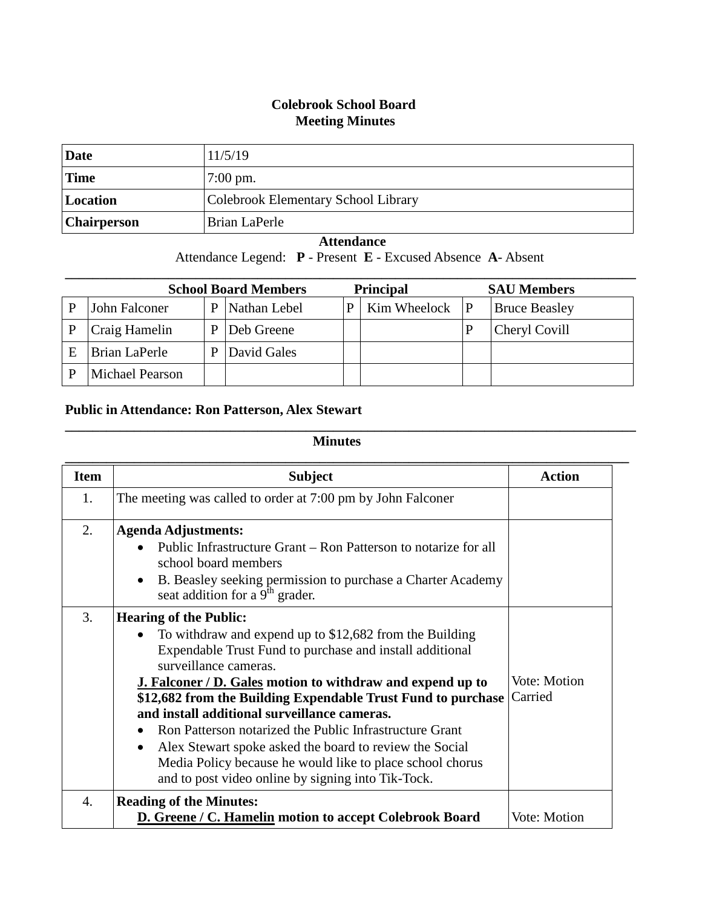## **Colebrook School Board Meeting Minutes**

| Date        | 11/5/19                             |
|-------------|-------------------------------------|
| <b>Time</b> | $7:00 \text{ pm}$ .                 |
| Location    | Colebrook Elementary School Library |
| Chairperson | Brian LaPerle                       |

## **Attendance**

Attendance Legend: **P** - Present **E** - Excused Absence **A**- Absent

| <b>School Board Members</b> |                 |   |              | <b>Principal</b> |                    | <b>SAU Members</b>   |
|-----------------------------|-----------------|---|--------------|------------------|--------------------|----------------------|
|                             | John Falconer   | P | Nathan Lebel | P                | Kim Wheelock $ P $ | <b>Bruce Beasley</b> |
|                             | Craig Hamelin   | P | Deb Greene   |                  |                    | Cheryl Covill        |
| F                           | Brian LaPerle   | р | David Gales  |                  |                    |                      |
|                             | Michael Pearson |   |              |                  |                    |                      |

## **Public in Attendance: Ron Patterson, Alex Stewart**

## **Minutes**

**\_\_\_\_\_\_\_\_\_\_\_\_\_\_\_\_\_\_\_\_\_\_\_\_\_\_\_\_\_\_\_\_\_\_\_\_\_\_\_\_\_\_\_\_\_\_\_\_\_\_\_\_\_\_\_\_\_\_\_\_\_\_\_\_\_\_\_\_\_\_\_\_\_\_\_\_\_\_\_\_\_\_\_**

| <b>Item</b> | <b>Subject</b>                                                                                                                                                                                                                                     | <b>Action</b> |
|-------------|----------------------------------------------------------------------------------------------------------------------------------------------------------------------------------------------------------------------------------------------------|---------------|
| 1.          | The meeting was called to order at 7:00 pm by John Falconer                                                                                                                                                                                        |               |
| 2.          | <b>Agenda Adjustments:</b>                                                                                                                                                                                                                         |               |
|             | Public Infrastructure Grant – Ron Patterson to notarize for all<br>school board members                                                                                                                                                            |               |
|             | B. Beasley seeking permission to purchase a Charter Academy<br>seat addition for a $9th$ grader.                                                                                                                                                   |               |
| 3.          | <b>Hearing of the Public:</b>                                                                                                                                                                                                                      |               |
|             | To withdraw and expend up to \$12,682 from the Building<br>Expendable Trust Fund to purchase and install additional<br>surveillance cameras.                                                                                                       |               |
|             | <b>J. Falconer / D. Gales motion to withdraw and expend up to</b>                                                                                                                                                                                  | Vote: Motion  |
|             | \$12,682 from the Building Expendable Trust Fund to purchase<br>and install additional surveillance cameras.                                                                                                                                       | Carried       |
|             | Ron Patterson notarized the Public Infrastructure Grant<br>Alex Stewart spoke asked the board to review the Social<br>$\bullet$<br>Media Policy because he would like to place school chorus<br>and to post video online by signing into Tik-Tock. |               |
| 4.          | <b>Reading of the Minutes:</b><br>D. Greene / C. Hamelin motion to accept Colebrook Board                                                                                                                                                          | Vote: Motion  |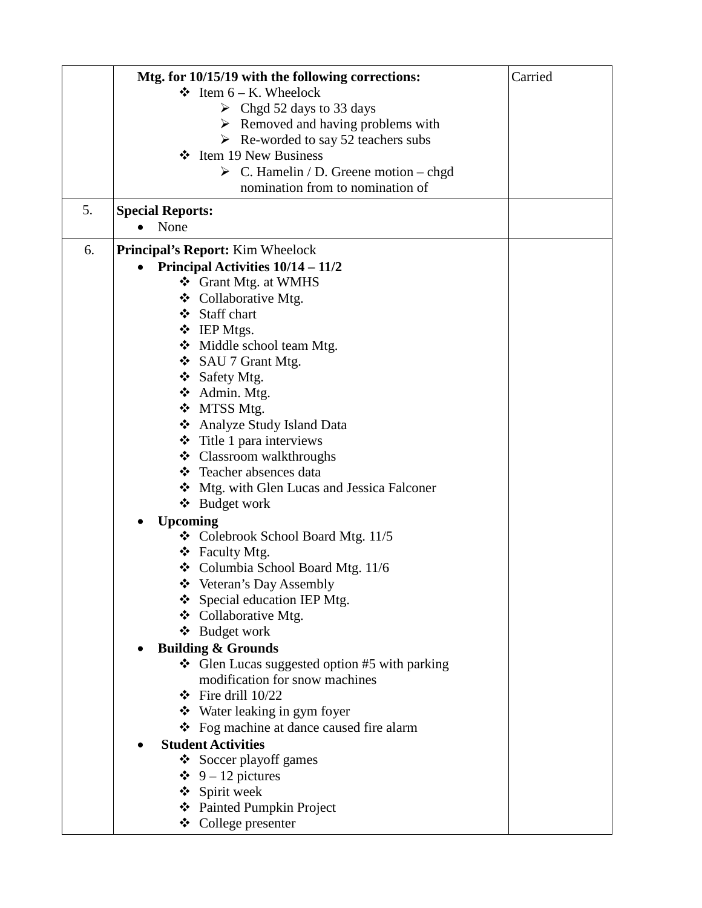|    | Mtg. for 10/15/19 with the following corrections:     | Carried |
|----|-------------------------------------------------------|---------|
|    | $\div$ Item 6 – K. Wheelock                           |         |
|    | $\triangleright$ Chgd 52 days to 33 days              |         |
|    | $\triangleright$ Removed and having problems with     |         |
|    | $\triangleright$ Re-worded to say 52 teachers subs    |         |
|    | Item 19 New Business<br>❖                             |         |
|    | $\triangleright$ C. Hamelin / D. Greene motion – chgd |         |
|    | nomination from to nomination of                      |         |
| 5. |                                                       |         |
|    | <b>Special Reports:</b><br>None<br>$\bullet$          |         |
|    |                                                       |         |
| 6. | <b>Principal's Report:</b> Kim Wheelock               |         |
|    | Principal Activities 10/14 - 11/2                     |         |
|    | ❖ Grant Mtg. at WMHS                                  |         |
|    | ❖ Collaborative Mtg.                                  |         |
|    | ❖ Staff chart                                         |         |
|    | ❖ IEP Mtgs.                                           |         |
|    | ❖ Middle school team Mtg.                             |         |
|    | $\div$ SAU 7 Grant Mtg.                               |         |
|    | ❖ Safety Mtg.                                         |         |
|    | ❖ Admin. Mtg.                                         |         |
|    | ❖ MTSS Mtg.                                           |         |
|    | ❖ Analyze Study Island Data                           |         |
|    | $\div$ Title 1 para interviews                        |         |
|    | ❖ Classroom walkthroughs                              |         |
|    | ❖ Teacher absences data                               |         |
|    | ❖ Mtg. with Glen Lucas and Jessica Falconer           |         |
|    | ❖ Budget work                                         |         |
|    | <b>Upcoming</b><br>$\bullet$                          |         |
|    | <b>❖</b> Colebrook School Board Mtg. $11/5$           |         |
|    | $\div$ Faculty Mtg.                                   |         |
|    | $\div$ Columbia School Board Mtg. 11/6                |         |
|    | Veteran's Day Assembly                                |         |
|    | $\div$ Special education IEP Mtg.                     |         |
|    | ❖ Collaborative Mtg.                                  |         |
|    | ❖ Budget work                                         |         |
|    | <b>Building &amp; Grounds</b>                         |         |
|    | Glen Lucas suggested option #5 with parking           |         |
|    | modification for snow machines                        |         |
|    | $\div$ Fire drill 10/22                               |         |
|    | ❖ Water leaking in gym foyer                          |         |
|    | ❖ Fog machine at dance caused fire alarm              |         |
|    | <b>Student Activities</b>                             |         |
|    | ❖ Soccer playoff games                                |         |
|    | $\div$ 9 – 12 pictures                                |         |
|    | ❖ Spirit week                                         |         |
|    | ❖ Painted Pumpkin Project                             |         |
|    | ❖ College presenter                                   |         |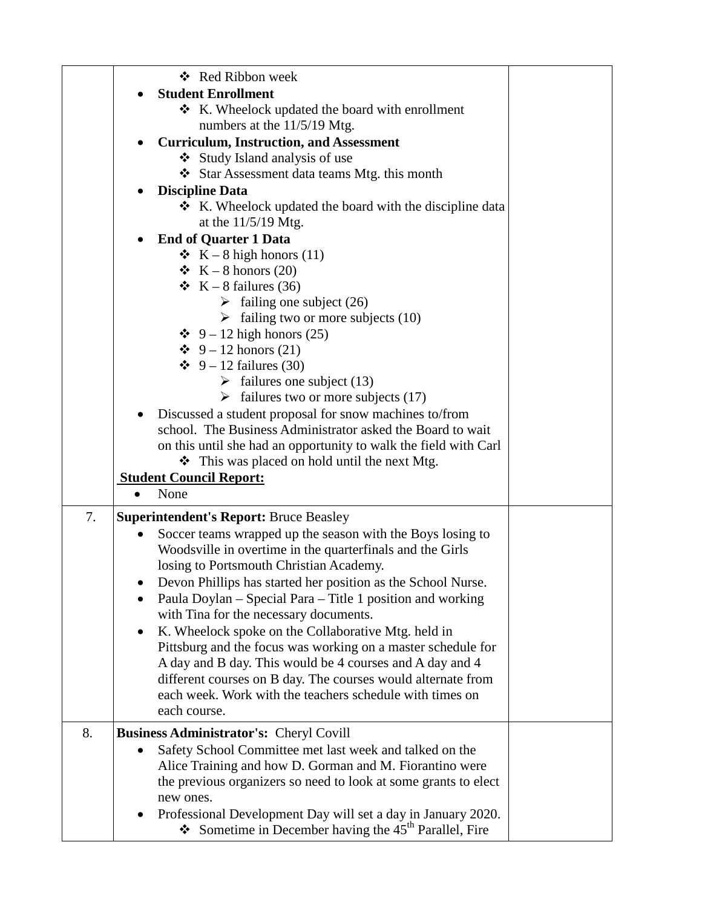|    |   | ❖ Red Ribbon week                                                |  |
|----|---|------------------------------------------------------------------|--|
|    |   | <b>Student Enrollment</b>                                        |  |
|    |   | $\bullet$ K. Wheelock updated the board with enrollment          |  |
|    |   | numbers at the 11/5/19 Mtg.                                      |  |
|    |   | <b>Curriculum, Instruction, and Assessment</b>                   |  |
|    |   | ❖ Study Island analysis of use                                   |  |
|    |   | Star Assessment data teams Mtg. this month                       |  |
|    |   | <b>Discipline Data</b>                                           |  |
|    |   | ❖ K. Wheelock updated the board with the discipline data         |  |
|    |   | at the $11/5/19$ Mtg.                                            |  |
|    |   | <b>End of Quarter 1 Data</b>                                     |  |
|    |   |                                                                  |  |
|    |   | $\bullet K - 8$ high honors (11)                                 |  |
|    |   | $\bullet K - 8$ honors (20)                                      |  |
|    |   | $\bullet$ K – 8 failures (36)                                    |  |
|    |   | $\triangleright$ failing one subject (26)                        |  |
|    |   | $\triangleright$ failing two or more subjects (10)               |  |
|    |   | $\div$ 9 – 12 high honors (25)                                   |  |
|    |   | $\div$ 9 – 12 honors (21)                                        |  |
|    |   | $\div 9 - 12$ failures (30)                                      |  |
|    |   | $\triangleright$ failures one subject (13)                       |  |
|    |   | $\triangleright$ failures two or more subjects (17)              |  |
|    | ٠ | Discussed a student proposal for snow machines to/from           |  |
|    |   | school. The Business Administrator asked the Board to wait       |  |
|    |   | on this until she had an opportunity to walk the field with Carl |  |
|    |   | ❖ This was placed on hold until the next Mtg.                    |  |
|    |   | <b>Student Council Report:</b>                                   |  |
|    |   | None                                                             |  |
| 7. |   | <b>Superintendent's Report: Bruce Beasley</b>                    |  |
|    |   | Soccer teams wrapped up the season with the Boys losing to       |  |
|    |   | Woodsville in overtime in the quarterfinals and the Girls        |  |
|    |   | losing to Portsmouth Christian Academy.                          |  |
|    |   | Devon Phillips has started her position as the School Nurse.     |  |
|    |   | Paula Doylan – Special Para – Title 1 position and working       |  |
|    |   | with Tina for the necessary documents.                           |  |
|    | ٠ | K. Wheelock spoke on the Collaborative Mtg. held in              |  |
|    |   | Pittsburg and the focus was working on a master schedule for     |  |
|    |   | A day and B day. This would be 4 courses and A day and 4         |  |
|    |   | different courses on B day. The courses would alternate from     |  |
|    |   | each week. Work with the teachers schedule with times on         |  |
|    |   | each course.                                                     |  |
| 8. |   | Business Administrator's: Cheryl Covill                          |  |
|    |   | Safety School Committee met last week and talked on the          |  |
|    |   | Alice Training and how D. Gorman and M. Fiorantino were          |  |
|    |   | the previous organizers so need to look at some grants to elect  |  |
|    |   | new ones.                                                        |  |
|    |   | Professional Development Day will set a day in January 2020.     |  |
|    |   | Sometime in December having the $45th$ Parallel, Fire            |  |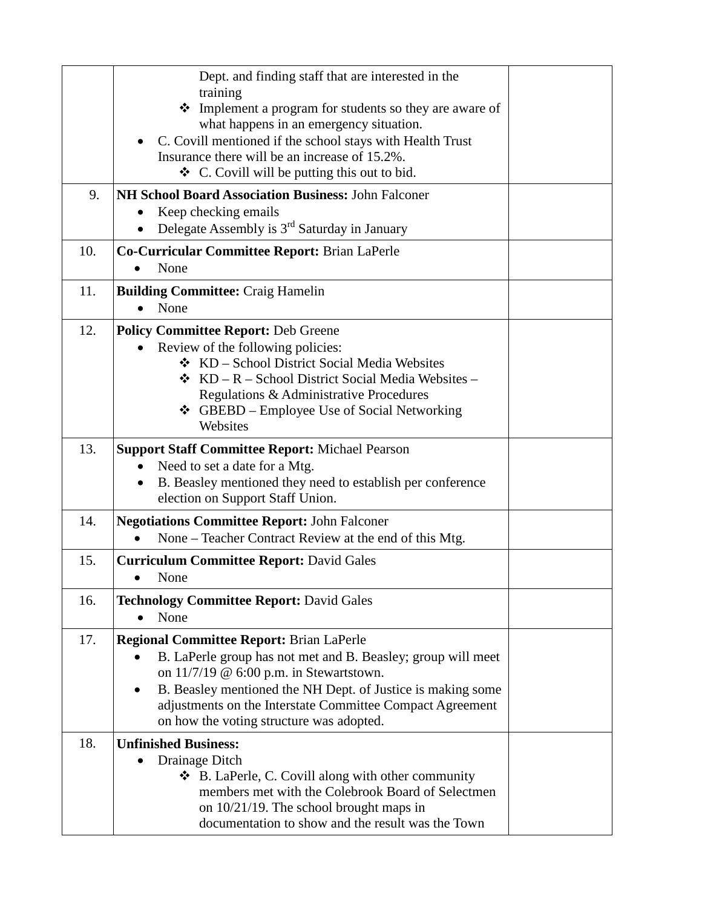|     | Dept. and finding staff that are interested in the<br>training<br>• Implement a program for students so they are aware of |  |
|-----|---------------------------------------------------------------------------------------------------------------------------|--|
|     | what happens in an emergency situation.                                                                                   |  |
|     | C. Covill mentioned if the school stays with Health Trust                                                                 |  |
|     | Insurance there will be an increase of 15.2%.<br>$\triangleleft$ C. Covill will be putting this out to bid.               |  |
|     | NH School Board Association Business: John Falconer                                                                       |  |
| 9.  | Keep checking emails                                                                                                      |  |
|     | Delegate Assembly is $3rd$ Saturday in January                                                                            |  |
| 10. | Co-Curricular Committee Report: Brian LaPerle                                                                             |  |
|     | None                                                                                                                      |  |
| 11. | <b>Building Committee: Craig Hamelin</b>                                                                                  |  |
|     | None                                                                                                                      |  |
| 12. | <b>Policy Committee Report: Deb Greene</b>                                                                                |  |
|     | Review of the following policies:<br>❖ KD – School District Social Media Websites                                         |  |
|     | <b>❖</b> $KD - R - School District Social Media Website -$                                                                |  |
|     | Regulations & Administrative Procedures                                                                                   |  |
|     | ❖ GBEBD – Employee Use of Social Networking                                                                               |  |
|     | Websites                                                                                                                  |  |
| 13. | <b>Support Staff Committee Report: Michael Pearson</b>                                                                    |  |
|     | Need to set a date for a Mtg.                                                                                             |  |
|     | B. Beasley mentioned they need to establish per conference<br>election on Support Staff Union.                            |  |
| 14. | <b>Negotiations Committee Report: John Falconer</b>                                                                       |  |
|     | None – Teacher Contract Review at the end of this Mtg.                                                                    |  |
| 15. | <b>Curriculum Committee Report: David Gales</b>                                                                           |  |
|     | None                                                                                                                      |  |
| 16. | <b>Technology Committee Report: David Gales</b>                                                                           |  |
|     | None                                                                                                                      |  |
| 17. | <b>Regional Committee Report: Brian LaPerle</b>                                                                           |  |
|     | B. LaPerle group has not met and B. Beasley; group will meet                                                              |  |
|     | on $11/7/19$ @ 6:00 p.m. in Stewartstown.                                                                                 |  |
|     | B. Beasley mentioned the NH Dept. of Justice is making some<br>adjustments on the Interstate Committee Compact Agreement  |  |
|     | on how the voting structure was adopted.                                                                                  |  |
| 18. | <b>Unfinished Business:</b>                                                                                               |  |
|     | Drainage Ditch<br>$\bullet$                                                                                               |  |
|     | $\bullet$ B. LaPerle, C. Covill along with other community                                                                |  |
|     | members met with the Colebrook Board of Selectmen                                                                         |  |
|     | on 10/21/19. The school brought maps in<br>documentation to show and the result was the Town                              |  |
|     |                                                                                                                           |  |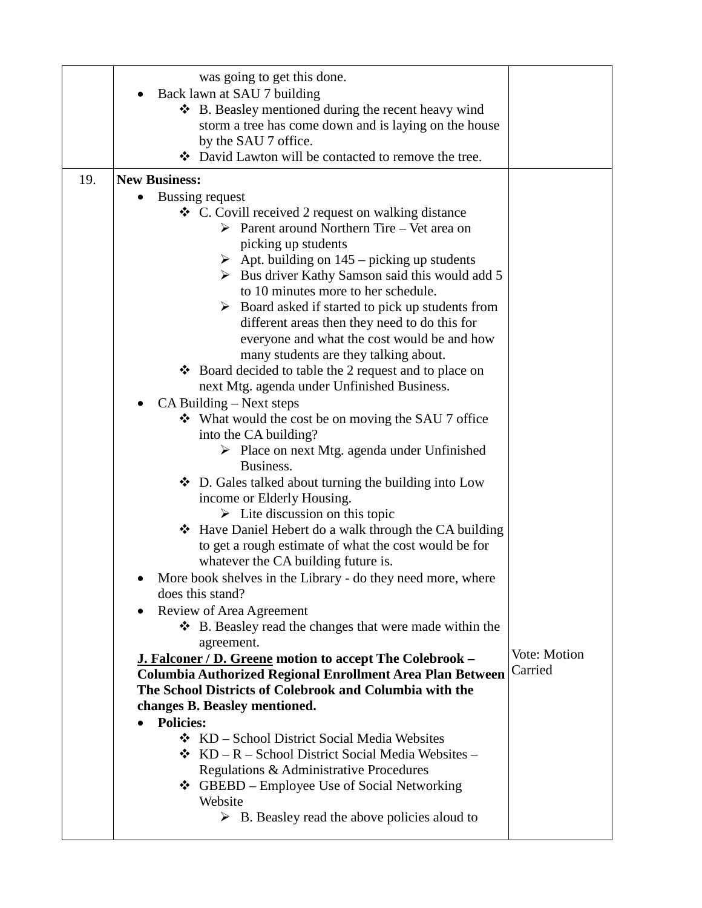|     | was going to get this done.                                                        |              |
|-----|------------------------------------------------------------------------------------|--------------|
|     | Back lawn at SAU 7 building                                                        |              |
|     | ❖ B. Beasley mentioned during the recent heavy wind                                |              |
|     | storm a tree has come down and is laying on the house                              |              |
|     | by the SAU 7 office.                                                               |              |
|     | ❖ David Lawton will be contacted to remove the tree.                               |              |
| 19. | <b>New Business:</b>                                                               |              |
|     |                                                                                    |              |
|     | Bussing request<br>❖ C. Covill received 2 request on walking distance              |              |
|     | $\triangleright$ Parent around Northern Tire – Vet area on                         |              |
|     |                                                                                    |              |
|     | picking up students<br>$\triangleright$ Apt. building on 145 – picking up students |              |
|     | $\triangleright$ Bus driver Kathy Samson said this would add 5                     |              |
|     | to 10 minutes more to her schedule.                                                |              |
|     | Board asked if started to pick up students from<br>➤                               |              |
|     | different areas then they need to do this for                                      |              |
|     | everyone and what the cost would be and how                                        |              |
|     | many students are they talking about.                                              |              |
|     | ❖ Board decided to table the 2 request and to place on                             |              |
|     | next Mtg. agenda under Unfinished Business.                                        |              |
|     | CA Building – Next steps                                                           |              |
|     | $\div$ What would the cost be on moving the SAU 7 office                           |              |
|     | into the CA building?                                                              |              |
|     | $\triangleright$ Place on next Mtg. agenda under Unfinished                        |              |
|     | Business.                                                                          |              |
|     | ❖ D. Gales talked about turning the building into Low                              |              |
|     | income or Elderly Housing.                                                         |              |
|     | $\triangleright$ Lite discussion on this topic                                     |              |
|     | ❖ Have Daniel Hebert do a walk through the CA building                             |              |
|     | to get a rough estimate of what the cost would be for                              |              |
|     | whatever the CA building future is.                                                |              |
|     | More book shelves in the Library - do they need more, where                        |              |
|     | does this stand?                                                                   |              |
|     | Review of Area Agreement<br>$\bullet$                                              |              |
|     | ❖ B. Beasley read the changes that were made within the                            |              |
|     | agreement.                                                                         |              |
|     | <b>J. Falconer / D. Greene motion to accept The Colebrook –</b>                    | Vote: Motion |
|     | Columbia Authorized Regional Enrollment Area Plan Between                          | Carried      |
|     | The School Districts of Colebrook and Columbia with the                            |              |
|     | changes B. Beasley mentioned.                                                      |              |
|     | <b>Policies:</b>                                                                   |              |
|     | ❖ KD – School District Social Media Websites                                       |              |
|     | <b>❖</b> $KD - R - School District Social Media Website -$                         |              |
|     | Regulations & Administrative Procedures                                            |              |
|     | ❖ GBEBD – Employee Use of Social Networking                                        |              |
|     | Website                                                                            |              |
|     | $\triangleright$ B. Beasley read the above policies aloud to                       |              |
|     |                                                                                    |              |